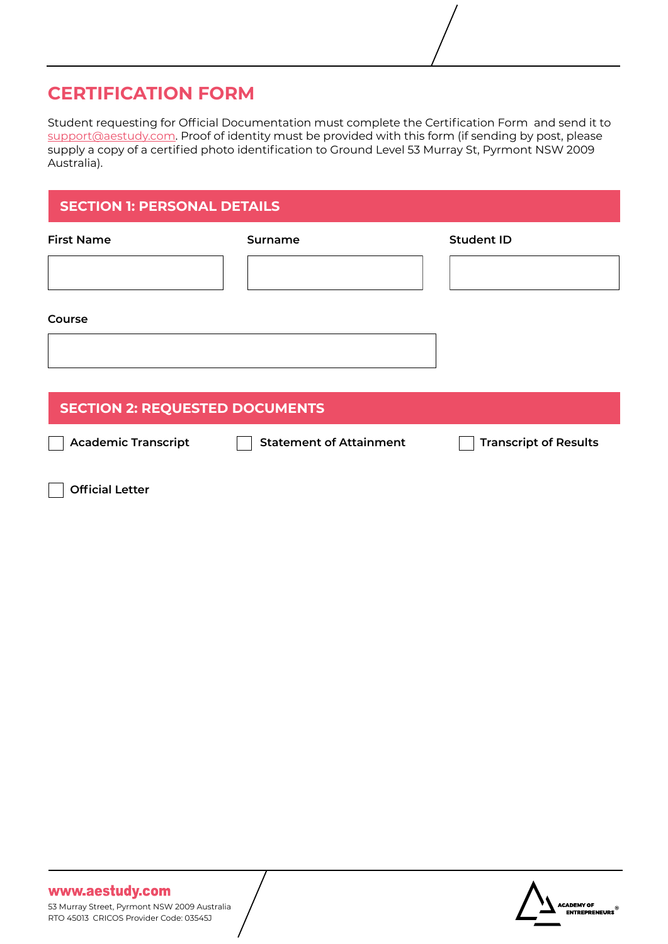# **CERTIFICATION FORM**

Student requesting for Official Documentation must complete the Certification Form and send it to [support@aestudy.com](http://support@aestudy.com). Proof of identity must be provided with this form (if sending by post, please supply a copy of a certified photo identification to Ground Level 53 Murray St, Pyrmont NSW 2009 Australia).

## **SECTION 1: PERSONAL DETAILS**

| <b>First Name</b>                     | Surname                        | <b>Student ID</b>            |  |  |
|---------------------------------------|--------------------------------|------------------------------|--|--|
|                                       |                                |                              |  |  |
|                                       |                                |                              |  |  |
| Course                                |                                |                              |  |  |
|                                       |                                |                              |  |  |
|                                       |                                |                              |  |  |
| <b>SECTION 2: REQUESTED DOCUMENTS</b> |                                |                              |  |  |
| <b>Academic Transcript</b>            | <b>Statement of Attainment</b> | <b>Transcript of Results</b> |  |  |

**Official Letter**

## www.aestudy.com

53 Murray Street, Pyrmont NSW 2009 Australia RTO 45013 CRICOS Provider Code: 03545J